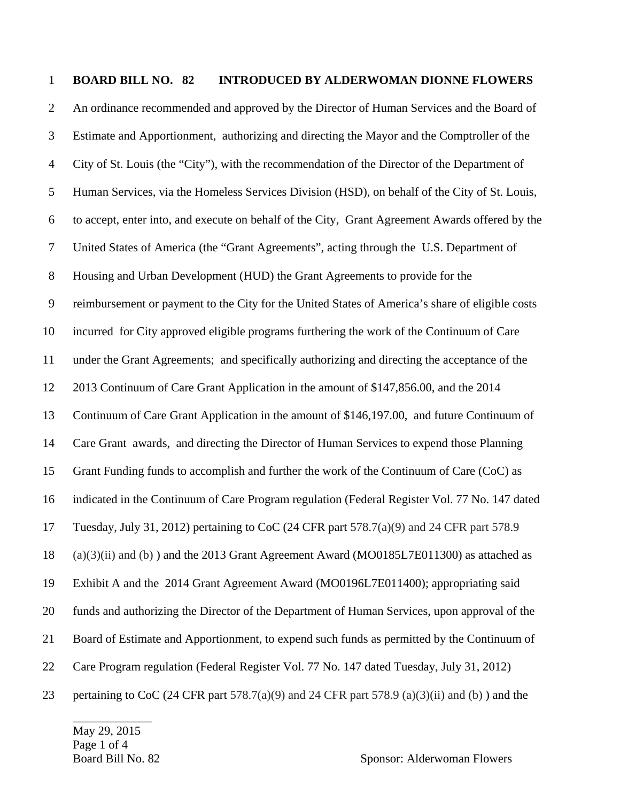## 1 **BOARD BILL NO. 82 INTRODUCED BY ALDERWOMAN DIONNE FLOWERS**

2 An ordinance recommended and approved by the Director of Human Services and the Board of 3 Estimate and Apportionment, authorizing and directing the Mayor and the Comptroller of the 4 City of St. Louis (the "City"), with the recommendation of the Director of the Department of 5 Human Services, via the Homeless Services Division (HSD), on behalf of the City of St. Louis, 6 to accept, enter into, and execute on behalf of the City, Grant Agreement Awards offered by the 7 United States of America (the "Grant Agreements", acting through the U.S. Department of 8 Housing and Urban Development (HUD) the Grant Agreements to provide for the 9 reimbursement or payment to the City for the United States of America's share of eligible costs 10 incurred for City approved eligible programs furthering the work of the Continuum of Care 11 under the Grant Agreements; and specifically authorizing and directing the acceptance of the 12 2013 Continuum of Care Grant Application in the amount of \$147,856.00, and the 2014 13 Continuum of Care Grant Application in the amount of \$146,197.00, and future Continuum of 14 Care Grant awards, and directing the Director of Human Services to expend those Planning 15 Grant Funding funds to accomplish and further the work of the Continuum of Care (CoC) as 16 indicated in the Continuum of Care Program regulation (Federal Register Vol. 77 No. 147 dated 17 Tuesday, July 31, 2012) pertaining to CoC (24 CFR part 578.7(a)(9) and 24 CFR part 578.9 18 (a)(3)(ii) and (b) ) and the 2013 Grant Agreement Award (MO0185L7E011300) as attached as 19 Exhibit A and the 2014 Grant Agreement Award (MO0196L7E011400); appropriating said 20 funds and authorizing the Director of the Department of Human Services, upon approval of the 21 Board of Estimate and Apportionment, to expend such funds as permitted by the Continuum of 22 Care Program regulation (Federal Register Vol. 77 No. 147 dated Tuesday, July 31, 2012) 23 pertaining to CoC (24 CFR part  $578.7(a)(9)$  and 24 CFR part  $578.9(a)(3)(ii)$  and (b)) and the

May 29, 2015 Page 1 of 4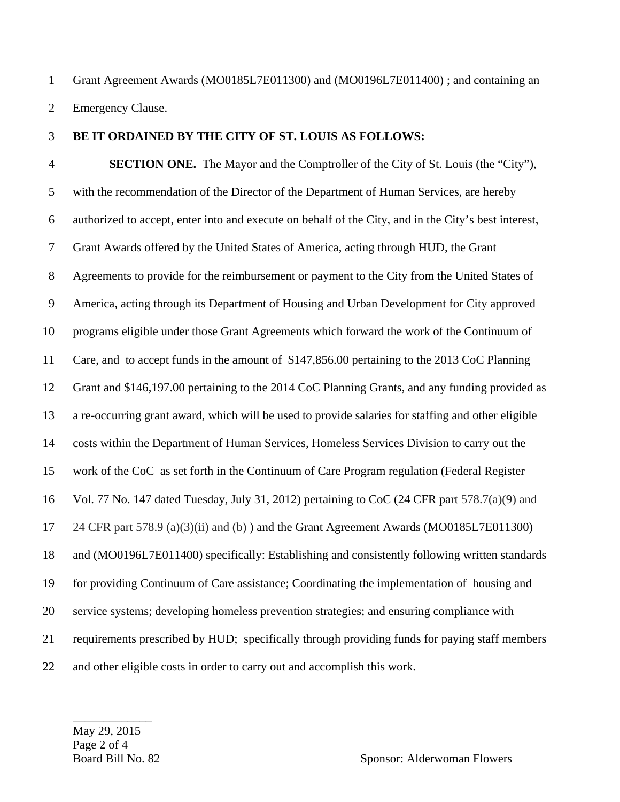1 Grant Agreement Awards (MO0185L7E011300) and (MO0196L7E011400) ; and containing an 2 Emergency Clause.

## 3 **BE IT ORDAINED BY THE CITY OF ST. LOUIS AS FOLLOWS:**

4 **SECTION ONE.** The Mayor and the Comptroller of the City of St. Louis (the "City"), 5 with the recommendation of the Director of the Department of Human Services, are hereby 6 authorized to accept, enter into and execute on behalf of the City, and in the City's best interest, 7 Grant Awards offered by the United States of America, acting through HUD, the Grant 8 Agreements to provide for the reimbursement or payment to the City from the United States of 9 America, acting through its Department of Housing and Urban Development for City approved 10 programs eligible under those Grant Agreements which forward the work of the Continuum of 11 Care, and to accept funds in the amount of \$147,856.00 pertaining to the 2013 CoC Planning 12 Grant and \$146,197.00 pertaining to the 2014 CoC Planning Grants, and any funding provided as 13 a re-occurring grant award, which will be used to provide salaries for staffing and other eligible 14 costs within the Department of Human Services, Homeless Services Division to carry out the 15 work of the CoC as set forth in the Continuum of Care Program regulation (Federal Register 16 Vol. 77 No. 147 dated Tuesday, July 31, 2012) pertaining to CoC (24 CFR part 578.7(a)(9) and 17 24 CFR part 578.9 (a)(3)(ii) and (b) ) and the Grant Agreement Awards (MO0185L7E011300) 18 and (MO0196L7E011400) specifically: Establishing and consistently following written standards 19 for providing Continuum of Care assistance; Coordinating the implementation of housing and 20 service systems; developing homeless prevention strategies; and ensuring compliance with 21 requirements prescribed by HUD; specifically through providing funds for paying staff members 22 and other eligible costs in order to carry out and accomplish this work.

May 29, 2015 Page 2 of 4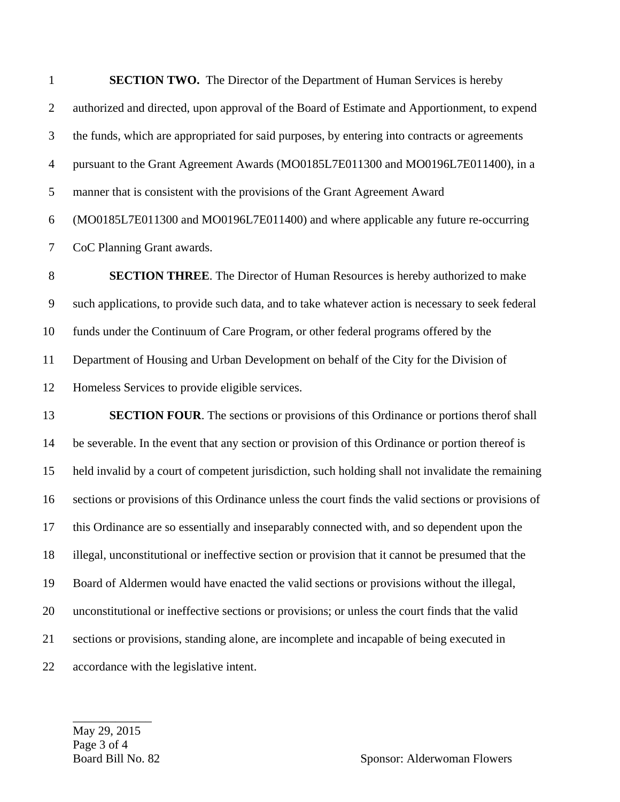1 **SECTION TWO.** The Director of the Department of Human Services is hereby 2 authorized and directed, upon approval of the Board of Estimate and Apportionment, to expend 3 the funds, which are appropriated for said purposes, by entering into contracts or agreements 4 pursuant to the Grant Agreement Awards (MO0185L7E011300 and MO0196L7E011400), in a 5 manner that is consistent with the provisions of the Grant Agreement Award 6 (MO0185L7E011300 and MO0196L7E011400) and where applicable any future re-occurring 7 CoC Planning Grant awards.

8 **SECTION THREE**. The Director of Human Resources is hereby authorized to make 9 such applications, to provide such data, and to take whatever action is necessary to seek federal 10 funds under the Continuum of Care Program, or other federal programs offered by the 11 Department of Housing and Urban Development on behalf of the City for the Division of 12 Homeless Services to provide eligible services.

13 **SECTION FOUR**. The sections or provisions of this Ordinance or portions therof shall 14 be severable. In the event that any section or provision of this Ordinance or portion thereof is 15 held invalid by a court of competent jurisdiction, such holding shall not invalidate the remaining 16 sections or provisions of this Ordinance unless the court finds the valid sections or provisions of 17 this Ordinance are so essentially and inseparably connected with, and so dependent upon the 18 illegal, unconstitutional or ineffective section or provision that it cannot be presumed that the 19 Board of Aldermen would have enacted the valid sections or provisions without the illegal, 20 unconstitutional or ineffective sections or provisions; or unless the court finds that the valid 21 sections or provisions, standing alone, are incomplete and incapable of being executed in 22 accordance with the legislative intent.

May 29, 2015 Page 3 of 4